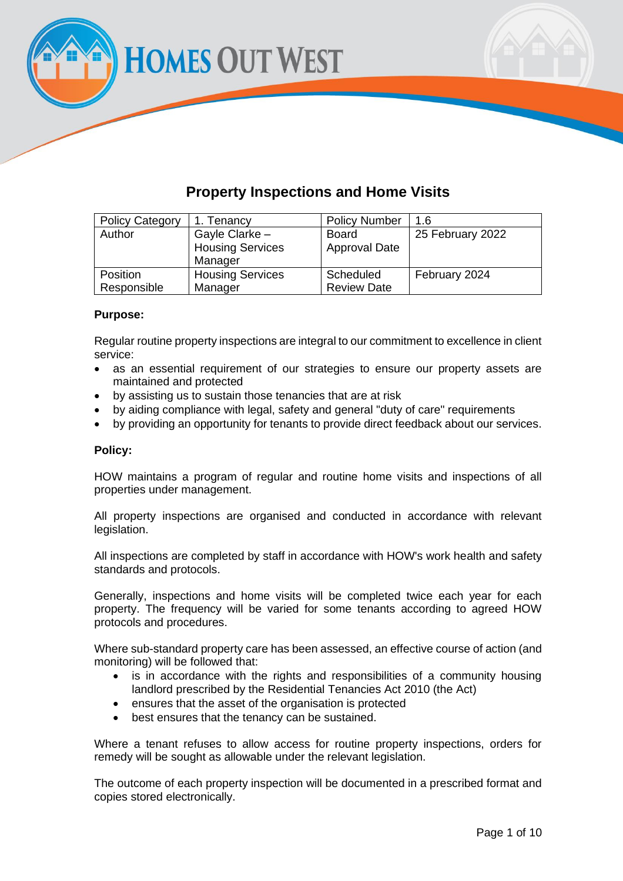**HOMES OUT WEST** 

## **Property Inspections and Home Visits**

| <b>Policy Category</b> | 1. Tenancy              | <b>Policy Number</b> | 1.6              |
|------------------------|-------------------------|----------------------|------------------|
| Author                 | Gayle Clarke -          | <b>Board</b>         | 25 February 2022 |
|                        | <b>Housing Services</b> | <b>Approval Date</b> |                  |
|                        | Manager                 |                      |                  |
| Position               | <b>Housing Services</b> | Scheduled            | February 2024    |
| Responsible            | Manager                 | <b>Review Date</b>   |                  |

#### **Purpose:**

Regular routine property inspections are integral to our commitment to excellence in client service:

- as an essential requirement of our strategies to ensure our property assets are maintained and protected
- by assisting us to sustain those tenancies that are at risk
- by aiding compliance with legal, safety and general "duty of care" requirements
- by providing an opportunity for tenants to provide direct feedback about our services.

#### **Policy:**

HOW maintains a program of regular and routine home visits and inspections of all properties under management.

All property inspections are organised and conducted in accordance with relevant legislation.

All inspections are completed by staff in accordance with HOW's work health and safety standards and protocols.

Generally, inspections and home visits will be completed twice each year for each property. The frequency will be varied for some tenants according to agreed HOW protocols and procedures.

Where sub-standard property care has been assessed, an effective course of action (and monitoring) will be followed that:

- is in accordance with the rights and responsibilities of a community housing landlord prescribed by the Residential Tenancies Act 2010 (the Act)
- ensures that the asset of the organisation is protected
- best ensures that the tenancy can be sustained.

Where a tenant refuses to allow access for routine property inspections, orders for remedy will be sought as allowable under the relevant legislation.

The outcome of each property inspection will be documented in a prescribed format and copies stored electronically.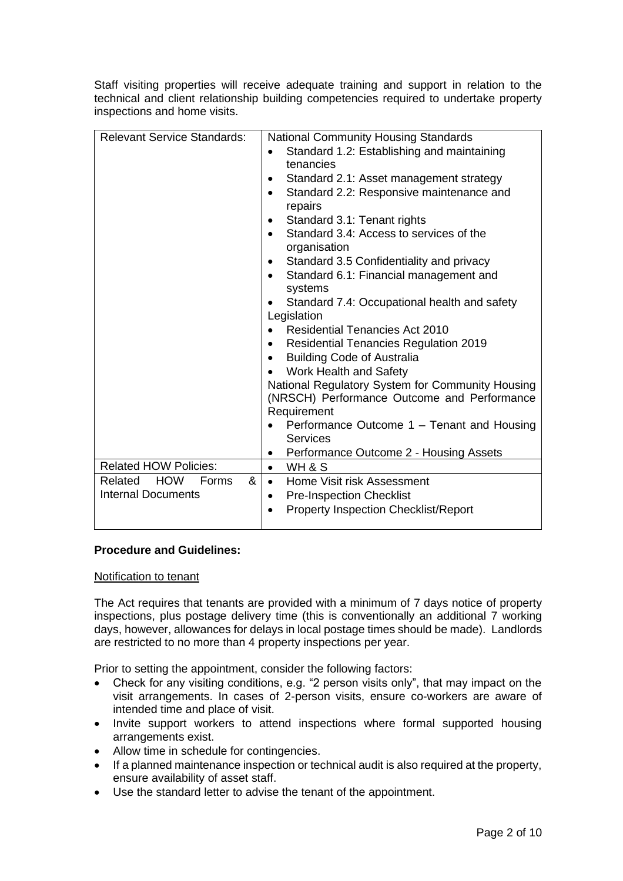Staff visiting properties will receive adequate training and support in relation to the technical and client relationship building competencies required to undertake property inspections and home visits.

| <b>Relevant Service Standards:</b>         | <b>National Community Housing Standards</b>               |
|--------------------------------------------|-----------------------------------------------------------|
|                                            | Standard 1.2: Establishing and maintaining<br>$\bullet$   |
|                                            | tenancies                                                 |
|                                            | Standard 2.1: Asset management strategy<br>٠              |
|                                            | Standard 2.2: Responsive maintenance and<br>$\bullet$     |
|                                            | repairs                                                   |
|                                            | Standard 3.1: Tenant rights<br>$\bullet$                  |
|                                            | Standard 3.4: Access to services of the                   |
|                                            | organisation                                              |
|                                            | Standard 3.5 Confidentiality and privacy<br>٠             |
|                                            | Standard 6.1: Financial management and<br>$\bullet$       |
|                                            | systems                                                   |
|                                            | Standard 7.4: Occupational health and safety<br>$\bullet$ |
|                                            | Legislation                                               |
|                                            | <b>Residential Tenancies Act 2010</b><br>$\bullet$        |
|                                            | <b>Residential Tenancies Regulation 2019</b><br>٠         |
|                                            | <b>Building Code of Australia</b><br>$\bullet$            |
|                                            | Work Health and Safety                                    |
|                                            | National Regulatory System for Community Housing          |
|                                            | (NRSCH) Performance Outcome and Performance               |
|                                            | Requirement                                               |
|                                            | Performance Outcome 1 - Tenant and Housing<br>Services    |
|                                            | Performance Outcome 2 - Housing Assets<br>$\bullet$       |
| <b>Related HOW Policies:</b>               | WH & S<br>$\bullet$                                       |
| <b>HOW</b><br>&<br>Related<br><b>Forms</b> | Home Visit risk Assessment<br>$\bullet$                   |
| Internal Documents                         | <b>Pre-Inspection Checklist</b><br>$\bullet$              |
|                                            | <b>Property Inspection Checklist/Report</b>               |
|                                            |                                                           |

### **Procedure and Guidelines:**

#### Notification to tenant

The Act requires that tenants are provided with a minimum of 7 days notice of property inspections, plus postage delivery time (this is conventionally an additional 7 working days, however, allowances for delays in local postage times should be made). Landlords are restricted to no more than 4 property inspections per year.

Prior to setting the appointment, consider the following factors:

- Check for any visiting conditions, e.g. "2 person visits only", that may impact on the visit arrangements. In cases of 2-person visits, ensure co-workers are aware of intended time and place of visit.
- Invite support workers to attend inspections where formal supported housing arrangements exist.
- Allow time in schedule for contingencies.
- If a planned maintenance inspection or technical audit is also required at the property, ensure availability of asset staff.
- Use the standard letter to advise the tenant of the appointment.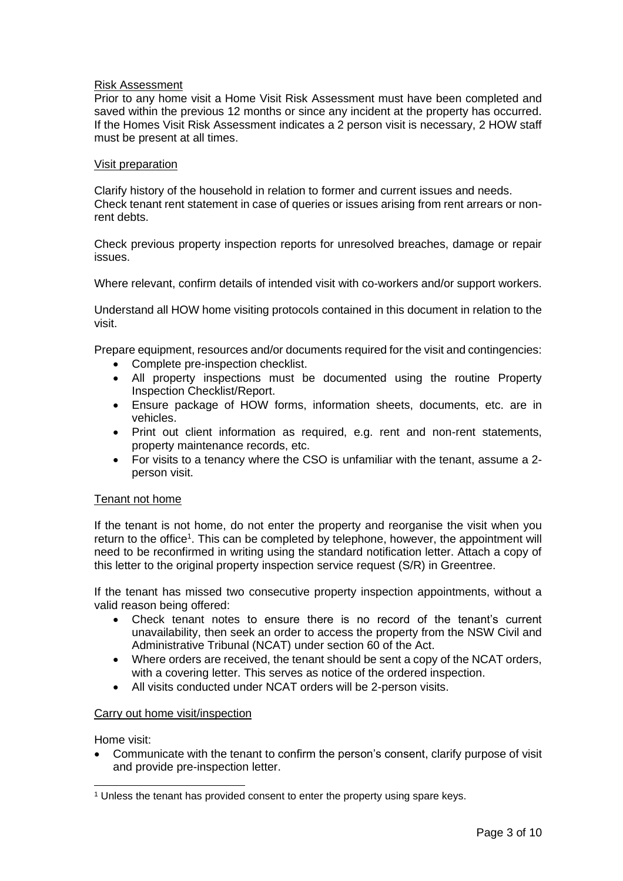#### Risk Assessment

Prior to any home visit a Home Visit Risk Assessment must have been completed and saved within the previous 12 months or since any incident at the property has occurred. If the Homes Visit Risk Assessment indicates a 2 person visit is necessary, 2 HOW staff must be present at all times.

#### Visit preparation

Clarify history of the household in relation to former and current issues and needs. Check tenant rent statement in case of queries or issues arising from rent arrears or nonrent debts.

Check previous property inspection reports for unresolved breaches, damage or repair issues.

Where relevant, confirm details of intended visit with co-workers and/or support workers.

Understand all HOW home visiting protocols contained in this document in relation to the visit.

Prepare equipment, resources and/or documents required for the visit and contingencies:

- Complete pre-inspection checklist.
- All property inspections must be documented using the routine Property Inspection Checklist/Report.
- Ensure package of HOW forms, information sheets, documents, etc. are in vehicles.
- Print out client information as required, e.g. rent and non-rent statements, property maintenance records, etc.
- For visits to a tenancy where the CSO is unfamiliar with the tenant, assume a 2 person visit.

#### Tenant not home

If the tenant is not home, do not enter the property and reorganise the visit when you return to the office<sup>1</sup>. This can be completed by telephone, however, the appointment will need to be reconfirmed in writing using the standard notification letter. Attach a copy of this letter to the original property inspection service request (S/R) in Greentree.

If the tenant has missed two consecutive property inspection appointments, without a valid reason being offered:

- Check tenant notes to ensure there is no record of the tenant's current unavailability, then seek an order to access the property from the NSW Civil and Administrative Tribunal (NCAT) under section 60 of the Act.
- Where orders are received, the tenant should be sent a copy of the NCAT orders, with a covering letter. This serves as notice of the ordered inspection.
- All visits conducted under NCAT orders will be 2-person visits.

#### Carry out home visit/inspection

Home visit:

• Communicate with the tenant to confirm the person's consent, clarify purpose of visit and provide pre-inspection letter.

<sup>&</sup>lt;sup>1</sup> Unless the tenant has provided consent to enter the property using spare keys.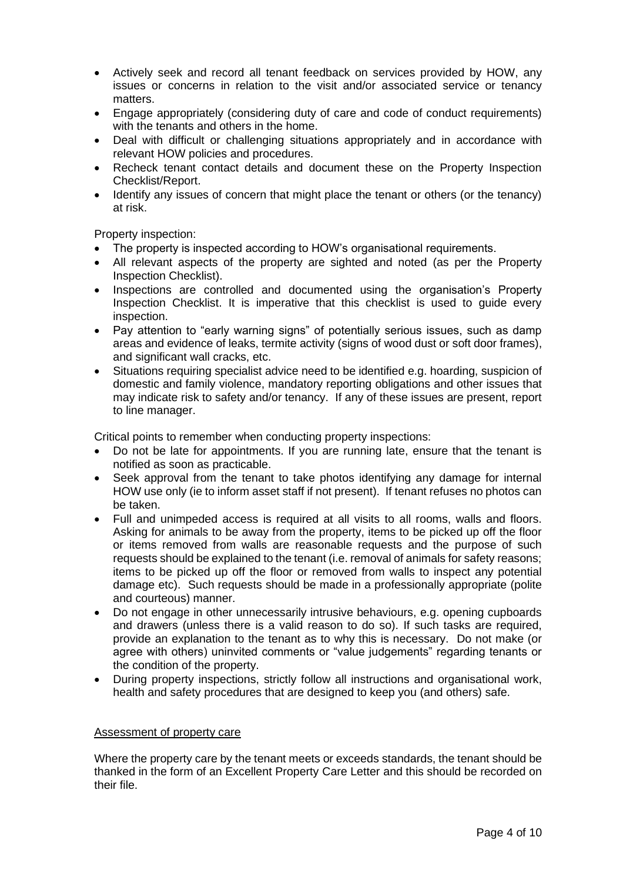- Actively seek and record all tenant feedback on services provided by HOW, any issues or concerns in relation to the visit and/or associated service or tenancy matters.
- Engage appropriately (considering duty of care and code of conduct requirements) with the tenants and others in the home.
- Deal with difficult or challenging situations appropriately and in accordance with relevant HOW policies and procedures.
- Recheck tenant contact details and document these on the Property Inspection Checklist/Report.
- Identify any issues of concern that might place the tenant or others (or the tenancy) at risk.

Property inspection:

- The property is inspected according to HOW's organisational requirements.
- All relevant aspects of the property are sighted and noted (as per the Property Inspection Checklist).
- Inspections are controlled and documented using the organisation's Property Inspection Checklist. It is imperative that this checklist is used to guide every inspection.
- Pay attention to "early warning signs" of potentially serious issues, such as damp areas and evidence of leaks, termite activity (signs of wood dust or soft door frames), and significant wall cracks, etc.
- Situations requiring specialist advice need to be identified e.g. hoarding, suspicion of domestic and family violence, mandatory reporting obligations and other issues that may indicate risk to safety and/or tenancy. If any of these issues are present, report to line manager.

Critical points to remember when conducting property inspections:

- Do not be late for appointments. If you are running late, ensure that the tenant is notified as soon as practicable.
- Seek approval from the tenant to take photos identifying any damage for internal HOW use only (ie to inform asset staff if not present). If tenant refuses no photos can be taken.
- Full and unimpeded access is required at all visits to all rooms, walls and floors. Asking for animals to be away from the property, items to be picked up off the floor or items removed from walls are reasonable requests and the purpose of such requests should be explained to the tenant (i.e. removal of animals for safety reasons; items to be picked up off the floor or removed from walls to inspect any potential damage etc). Such requests should be made in a professionally appropriate (polite and courteous) manner.
- Do not engage in other unnecessarily intrusive behaviours, e.g. opening cupboards and drawers (unless there is a valid reason to do so). If such tasks are required, provide an explanation to the tenant as to why this is necessary. Do not make (or agree with others) uninvited comments or "value judgements" regarding tenants or the condition of the property.
- During property inspections, strictly follow all instructions and organisational work, health and safety procedures that are designed to keep you (and others) safe.

#### Assessment of property care

Where the property care by the tenant meets or exceeds standards, the tenant should be thanked in the form of an Excellent Property Care Letter and this should be recorded on their file.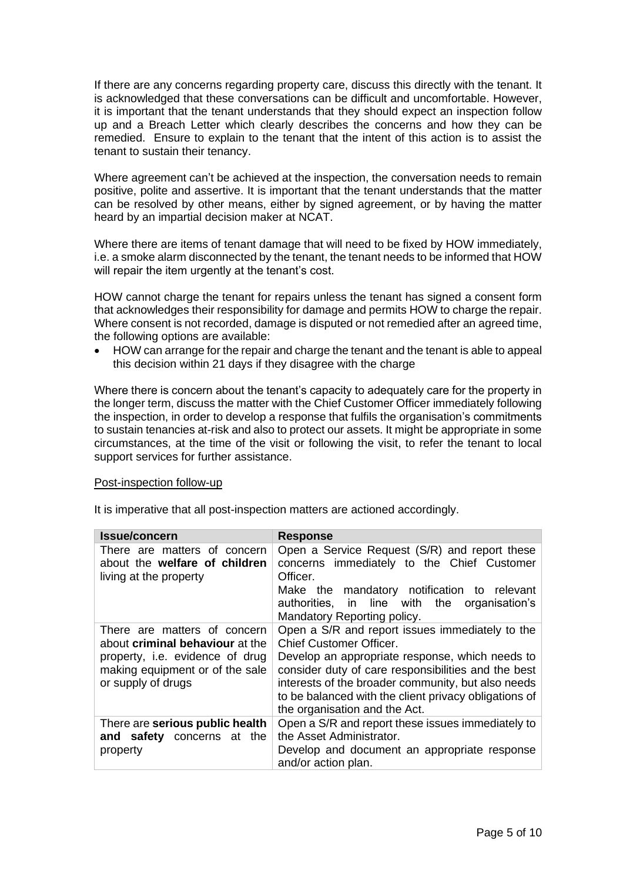If there are any concerns regarding property care, discuss this directly with the tenant. It is acknowledged that these conversations can be difficult and uncomfortable. However, it is important that the tenant understands that they should expect an inspection follow up and a Breach Letter which clearly describes the concerns and how they can be remedied. Ensure to explain to the tenant that the intent of this action is to assist the tenant to sustain their tenancy.

Where agreement can't be achieved at the inspection, the conversation needs to remain positive, polite and assertive. It is important that the tenant understands that the matter can be resolved by other means, either by signed agreement, or by having the matter heard by an impartial decision maker at NCAT.

Where there are items of tenant damage that will need to be fixed by HOW immediately, i.e. a smoke alarm disconnected by the tenant, the tenant needs to be informed that HOW will repair the item urgently at the tenant's cost.

HOW cannot charge the tenant for repairs unless the tenant has signed a consent form that acknowledges their responsibility for damage and permits HOW to charge the repair. Where consent is not recorded, damage is disputed or not remedied after an agreed time, the following options are available:

• HOW can arrange for the repair and charge the tenant and the tenant is able to appeal this decision within 21 days if they disagree with the charge

Where there is concern about the tenant's capacity to adequately care for the property in the longer term, discuss the matter with the Chief Customer Officer immediately following the inspection, in order to develop a response that fulfils the organisation's commitments to sustain tenancies at-risk and also to protect our assets. It might be appropriate in some circumstances, at the time of the visit or following the visit, to refer the tenant to local support services for further assistance.

#### Post-inspection follow-up

It is imperative that all post-inspection matters are actioned accordingly.

| <b>Issue/concern</b>                                                                                                                                               | <b>Response</b>                                                                                                                                                                                                                                                                                                                             |
|--------------------------------------------------------------------------------------------------------------------------------------------------------------------|---------------------------------------------------------------------------------------------------------------------------------------------------------------------------------------------------------------------------------------------------------------------------------------------------------------------------------------------|
| There are matters of concern<br>about the welfare of children<br>living at the property                                                                            | Open a Service Request (S/R) and report these<br>concerns immediately to the Chief Customer<br>Officer.<br>Make the mandatory notification to relevant<br>authorities, in line with the organisation's<br>Mandatory Reporting policy.                                                                                                       |
| There are matters of concern<br>about <b>criminal behaviour</b> at the<br>property, i.e. evidence of drug<br>making equipment or of the sale<br>or supply of drugs | Open a S/R and report issues immediately to the<br><b>Chief Customer Officer.</b><br>Develop an appropriate response, which needs to<br>consider duty of care responsibilities and the best<br>interests of the broader community, but also needs<br>to be balanced with the client privacy obligations of<br>the organisation and the Act. |
| There are serious public health<br>and safety concerns at the<br>property                                                                                          | Open a S/R and report these issues immediately to<br>the Asset Administrator.<br>Develop and document an appropriate response<br>and/or action plan.                                                                                                                                                                                        |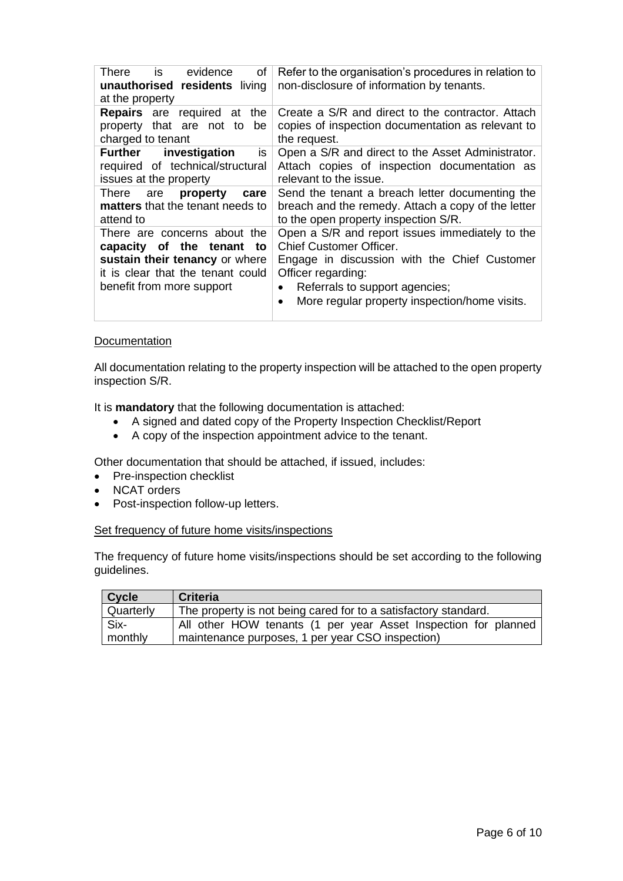| There is evidence<br>of<br>unauthorised residents living<br>at the property                                                                                      | Refer to the organisation's procedures in relation to<br>non-disclosure of information by tenants.                                                                                                                                                            |
|------------------------------------------------------------------------------------------------------------------------------------------------------------------|---------------------------------------------------------------------------------------------------------------------------------------------------------------------------------------------------------------------------------------------------------------|
| <b>Repairs</b> are required at<br>the<br>property that are not to<br>be<br>charged to tenant                                                                     | Create a S/R and direct to the contractor. Attach<br>copies of inspection documentation as relevant to<br>the request.                                                                                                                                        |
| <b>Further</b> investigation<br>is<br>required of technical/structural<br>issues at the property                                                                 | Open a S/R and direct to the Asset Administrator.<br>Attach copies of inspection documentation as<br>relevant to the issue.                                                                                                                                   |
| There are<br>property<br>care<br>matters that the tenant needs to<br>attend to                                                                                   | Send the tenant a breach letter documenting the<br>breach and the remedy. Attach a copy of the letter<br>to the open property inspection S/R.                                                                                                                 |
| There are concerns about the<br>capacity of the tenant<br>to<br>sustain their tenancy or where<br>it is clear that the tenant could<br>benefit from more support | Open a S/R and report issues immediately to the<br>Chief Customer Officer.<br>Engage in discussion with the Chief Customer<br>Officer regarding:<br>Referrals to support agencies;<br>$\bullet$<br>More regular property inspection/home visits.<br>$\bullet$ |

#### **Documentation**

All documentation relating to the property inspection will be attached to the open property inspection S/R.

It is **mandatory** that the following documentation is attached:

- A signed and dated copy of the Property Inspection Checklist/Report
- A copy of the inspection appointment advice to the tenant.

Other documentation that should be attached, if issued, includes:

- Pre-inspection checklist
- NCAT orders
- Post-inspection follow-up letters.

#### Set frequency of future home visits/inspections

The frequency of future home visits/inspections should be set according to the following guidelines.

| <b>Criteria</b>                                                                                                    |
|--------------------------------------------------------------------------------------------------------------------|
| The property is not being cared for to a satisfactory standard.                                                    |
| All other HOW tenants (1 per year Asset Inspection for planned<br>maintenance purposes, 1 per year CSO inspection) |
|                                                                                                                    |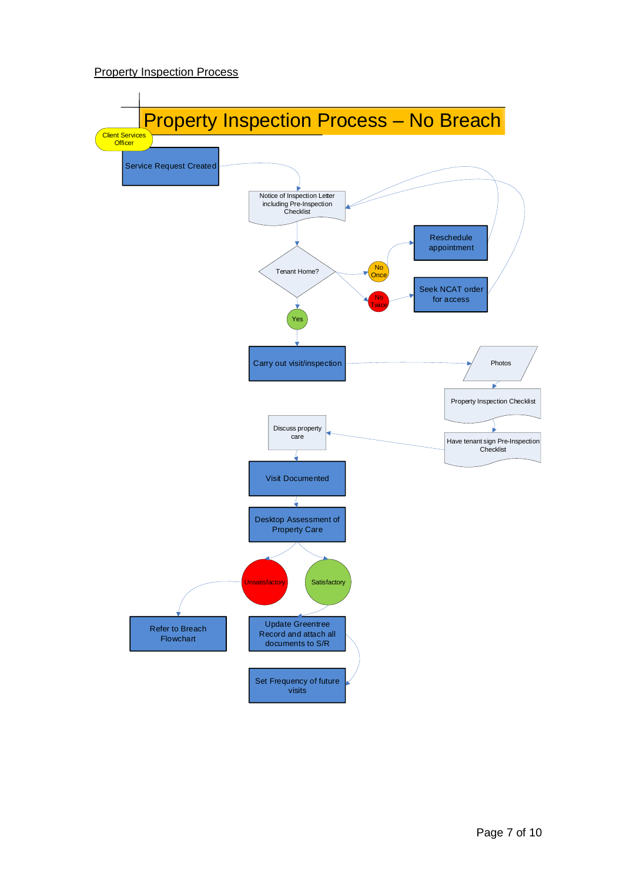#### **Property Inspection Process**

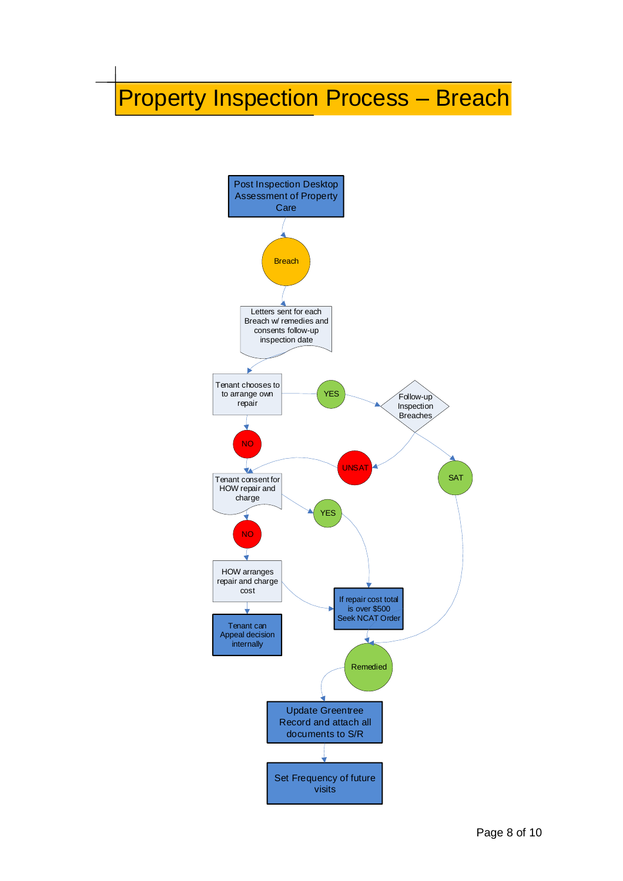# Property Inspection Process – Breach

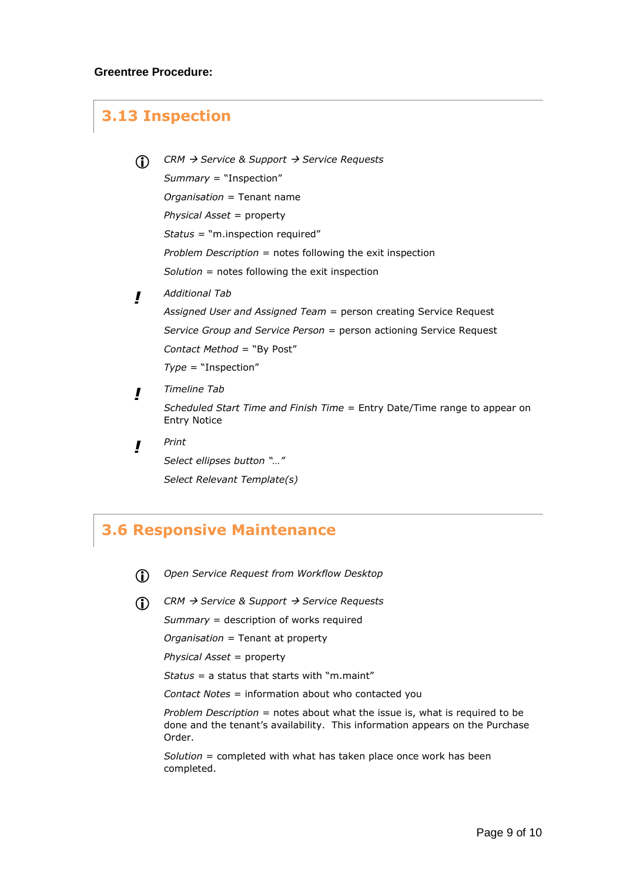## **3.13 Inspection**

- *CRM* <sup>→</sup> *Service & Support* <sup>→</sup> *Service Requests Summary* = "Inspection" *Organisation* = Tenant name *Physical Asset* = property *Status =* "m.inspection required" *Problem Description* = notes following the exit inspection *Solution* = notes following the exit inspection
- *! Additional Tab*

*Assigned User and Assigned Team* = person creating Service Request *Service Group and Service Person* = person actioning Service Request *Contact Method* = "By Post"

*Type* = "Inspection"

*! Timeline Tab*

> *Scheduled Start Time and Finish Time =* Entry Date/Time range to appear on Entry Notice

*! Print Select ellipses button "…" Select Relevant Template(s)*

## **3.6 Responsive Maintenance**

- *Open Service Request from Workflow Desktop*
- *CRM* <sup>→</sup> *Service & Support* <sup>→</sup> *Service Requests*

*Summary* = description of works required

*Organisation* = Tenant at property

*Physical Asset* = property

*Status =* a status that starts with "m.maint"

*Contact Notes* = information about who contacted you

*Problem Description* = notes about what the issue is, what is required to be done and the tenant's availability. This information appears on the Purchase Order.

*Solution* = completed with what has taken place once work has been completed.